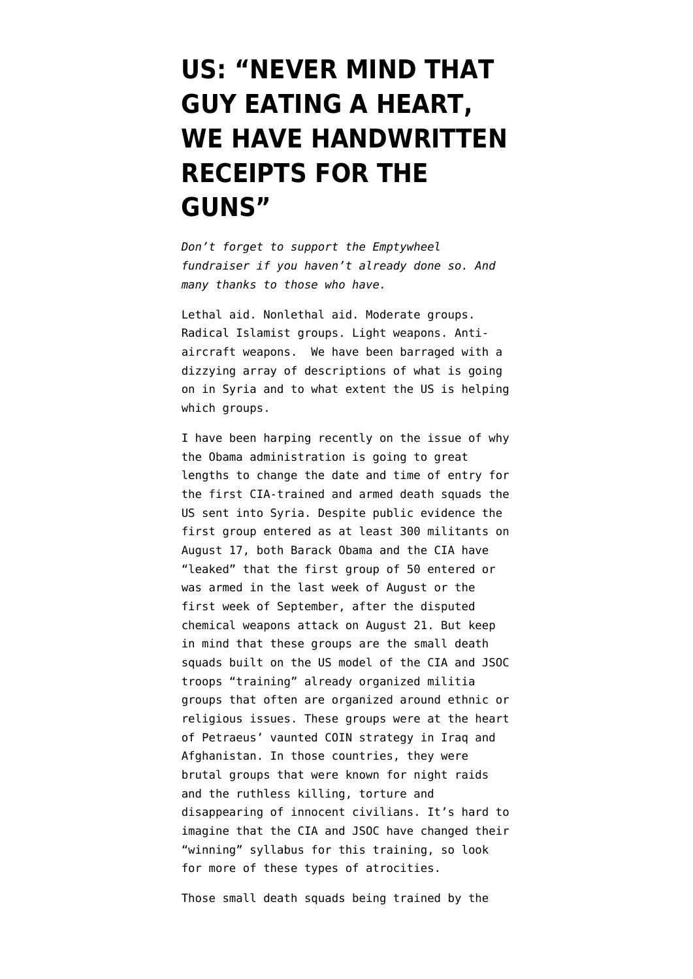## **[US: "NEVER MIND THAT](https://www.emptywheel.net/2013/09/13/us-never-mind-that-guy-eating-a-heart-we-have-handwritten-receipts-for-the-guns/) [GUY EATING A HEART,](https://www.emptywheel.net/2013/09/13/us-never-mind-that-guy-eating-a-heart-we-have-handwritten-receipts-for-the-guns/) [WE HAVE HANDWRITTEN](https://www.emptywheel.net/2013/09/13/us-never-mind-that-guy-eating-a-heart-we-have-handwritten-receipts-for-the-guns/) [RECEIPTS FOR THE](https://www.emptywheel.net/2013/09/13/us-never-mind-that-guy-eating-a-heart-we-have-handwritten-receipts-for-the-guns/) [GUNS"](https://www.emptywheel.net/2013/09/13/us-never-mind-that-guy-eating-a-heart-we-have-handwritten-receipts-for-the-guns/)**

*Don't forget to support the Emptywheel fundraiser if you haven't already done so. And many thanks to those who have.*

Lethal aid. Nonlethal aid. Moderate groups. Radical Islamist groups. Light weapons. Antiaircraft weapons. We have been barraged with a dizzying array of descriptions of what is going on in Syria and to what extent the US is helping which groups.

I have been harping recently on the issue of why the Obama administration is going to great lengths to change the date and time of entry for the first CIA-trained and armed death squads the US sent into Syria. Despite public evidence the first group entered as at least 300 militants on August 17, both [Barack Obama](http://www.emptywheel.net/2013/09/04/why-is-obama-changing-the-date-and-size-of-first-cia-death-squads-to-enter-syria/) and the [CIA](http://www.emptywheel.net/2013/09/12/cia-joins-obamas-dissembling-on-date-death-squads-sent-into-syria/) have "leaked" that the first group of 50 entered or was armed in the last week of August or the first week of September, after the disputed chemical weapons attack on August 21. But keep in mind that these groups are the small death squads built on the US model of the CIA and JSOC troops "training" already organized militia groups that often are organized around ethnic or religious issues. These groups were at the [heart](http://www.emptywheel.net/2013/03/07/guardian-lays-out-details-of-how-petraeus-organized-death-squads-in-iraq/) [of Petraeus' vaunted COIN strategy in Iraq and](http://www.emptywheel.net/2013/03/07/guardian-lays-out-details-of-how-petraeus-organized-death-squads-in-iraq/) [Afghanistan](http://www.emptywheel.net/2013/03/07/guardian-lays-out-details-of-how-petraeus-organized-death-squads-in-iraq/). In those countries, they were brutal groups that were known for night raids and the ruthless killing, torture and disappearing of innocent civilians. It's hard to imagine that the CIA and JSOC have changed their "winning" syllabus for this training, so look for more of these types of atrocities.

Those small death squads being trained by the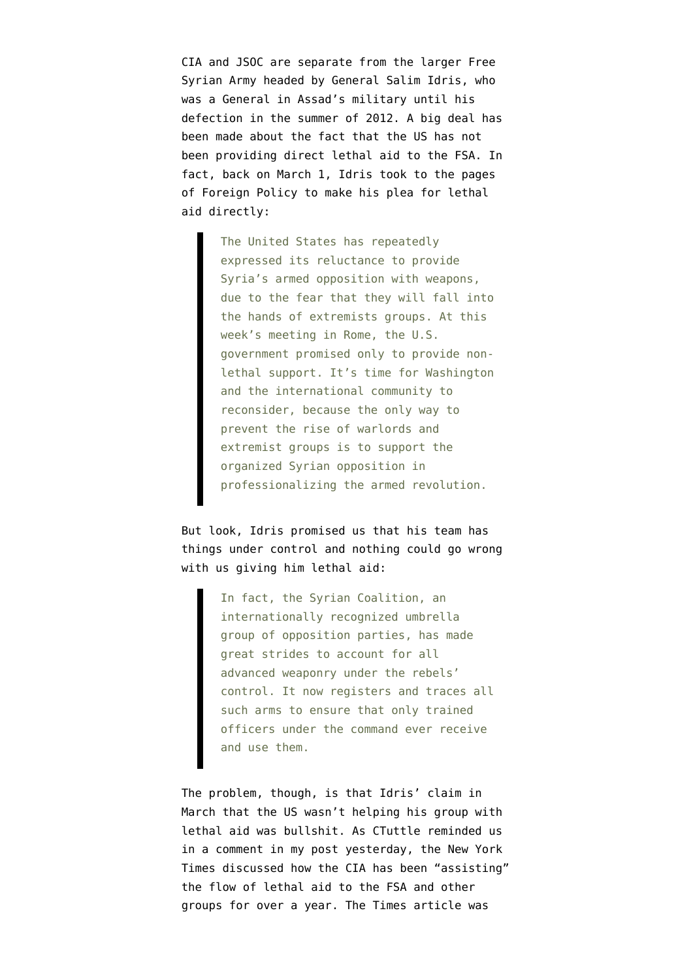CIA and JSOC are separate from the larger Free Syrian Army headed by General Salim Idris, who was a General in Assad's military until his defection in the summer of 2012. A big deal has been made about the fact that the US has not been providing direct lethal aid to the FSA. In fact, back on March 1, Idris took to the [pages](http://www.foreignpolicy.com/articles/2013/03/01/give_us_the_weapons_we_need_to_beat_assad_syrian_opposition?page=0,0) [of Foreign Policy](http://www.foreignpolicy.com/articles/2013/03/01/give_us_the_weapons_we_need_to_beat_assad_syrian_opposition?page=0,0) to make his plea for lethal aid directly:

> The United States has repeatedly expressed its reluctance to provide Syria's armed opposition with weapons, due to the fear that they will fall into the hands of extremists groups. At this week's meeting in Rome, the U.S. government promised only to provide nonlethal support. It's time for Washington and the international community to reconsider, because the only way to prevent the rise of warlords and extremist groups is to support the organized Syrian opposition in professionalizing the armed revolution.

But look, Idris promised us that his team has things under control and nothing could go wrong with us giving him lethal aid:

> In fact, the Syrian Coalition, an internationally recognized umbrella group of opposition parties, has made great strides to account for all advanced weaponry under the rebels' control. It now registers and traces all such arms to ensure that only trained officers under the command ever receive and use them.

The problem, though, is that Idris' claim in March that the US wasn't helping his group with lethal aid was bullshit. As CTuttle reminded us in a [comment in my post yesterday,](http://www.emptywheel.net/2013/09/12/cia-joins-obamas-dissembling-on-date-death-squads-sent-into-syria/#comment-624670) the New York Times discussed how [the CIA has been "assisting"](http://www.nytimes.com/2013/03/25/world/middleeast/arms-airlift-to-syrian-rebels-expands-with-cia-aid.html?pagewanted=all) [the flow of lethal aid](http://www.nytimes.com/2013/03/25/world/middleeast/arms-airlift-to-syrian-rebels-expands-with-cia-aid.html?pagewanted=all) to the FSA and other groups for over a year. The Times article was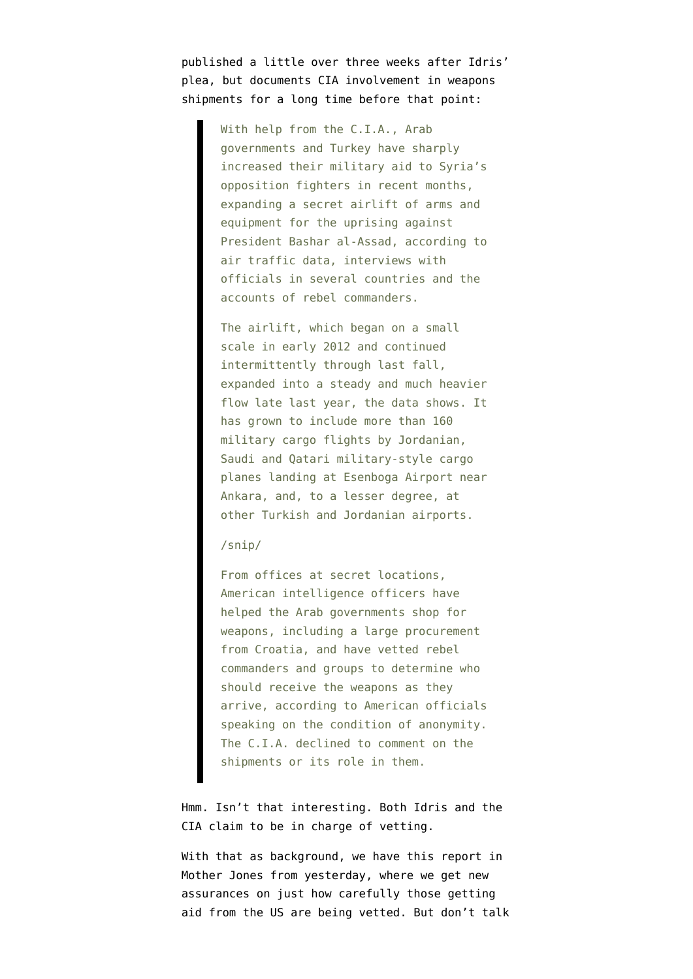published a little over three weeks after Idris' plea, but documents CIA involvement in weapons shipments for a long time before that point:

> With help from the C.I.A., Arab governments and Turkey have sharply increased their military aid to Syria's opposition fighters in recent months, expanding a secret airlift of arms and equipment for the uprising against President Bashar al-Assad, according to air traffic data, interviews with officials in several countries and the accounts of rebel commanders.

> The airlift, which began on a small scale in early 2012 and continued intermittently through last fall, expanded into a steady and much heavier flow late last year, the data shows. It has grown to include more than 160 military cargo flights by Jordanian, Saudi and Qatari military-style cargo planes landing at Esenboga Airport near Ankara, and, to a lesser degree, at other Turkish and Jordanian airports.

## /snip/

From offices at secret locations, American intelligence officers have helped the Arab governments shop for weapons, including a large procurement from Croatia, and have vetted rebel commanders and groups to determine who should receive the weapons as they arrive, according to American officials speaking on the condition of anonymity. The C.I.A. declined to comment on the shipments or its role in them.

Hmm. Isn't that interesting. Both Idris and the CIA claim to be in charge of vetting.

With that as background, we have this report in [Mother Jones from yesterday](http://www.motherjones.com/politics/2013/09/syrian-rebel-aid-handwritten-receipts), where we get new assurances on just how carefully those getting aid from the US are being vetted. But don't talk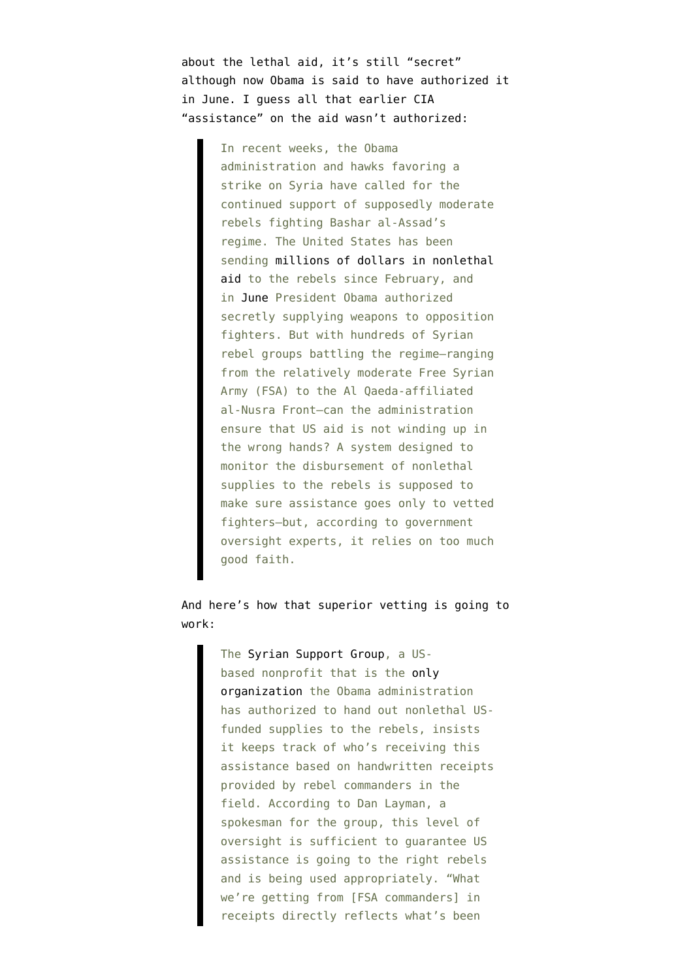about the lethal aid, it's still "secret" although now Obama is said to have authorized it in June. I guess all that earlier CIA "assistance" on the aid wasn't authorized:

> In recent weeks, the Obama administration and hawks favoring a strike on Syria have called for the continued support of supposedly moderate rebels fighting Bashar al-Assad's regime. The United States has been sending [millions of dollars in nonlethal](http://www.nytimes.com/2013/03/01/world/middleeast/us-pledges-60-million-to-syrian-opposition.html) [aid](http://www.nytimes.com/2013/03/01/world/middleeast/us-pledges-60-million-to-syrian-opposition.html) to the rebels since February, and in [June](http://online.wsj.com/article/SB10001424127887324202304579051280341316034.html) President Obama authorized secretly supplying weapons to opposition fighters. But with hundreds of Syrian rebel groups battling the regime—ranging from the relatively moderate Free Syrian Army (FSA) to the Al Qaeda-affiliated al-Nusra Front—can the administration ensure that US aid is not winding up in the wrong hands? A system designed to monitor the disbursement of nonlethal supplies to the rebels is supposed to make sure assistance goes only to vetted fighters—but, according to government oversight experts, it relies on too much good faith.

## And here's how that superior vetting is going to work:

The [Syrian Support Group,](http://syriansupportgroup.org/) a USbased nonprofit that is the [only](http://www.mcclatchydc.com/2012/08/01/159311/us-eases-arms-purchases-for-syrian.html#.UjCMAILDQ7A) [organization t](http://www.mcclatchydc.com/2012/08/01/159311/us-eases-arms-purchases-for-syrian.html#.UjCMAILDQ7A)he Obama administration has authorized to hand out nonlethal USfunded supplies to the rebels, insists it keeps track of who's receiving this assistance based on handwritten receipts provided by rebel commanders in the field. According to Dan Layman, a spokesman for the group, this level of oversight is sufficient to guarantee US assistance is going to the right rebels and is being used appropriately. "What we're getting from [FSA commanders] in receipts directly reflects what's been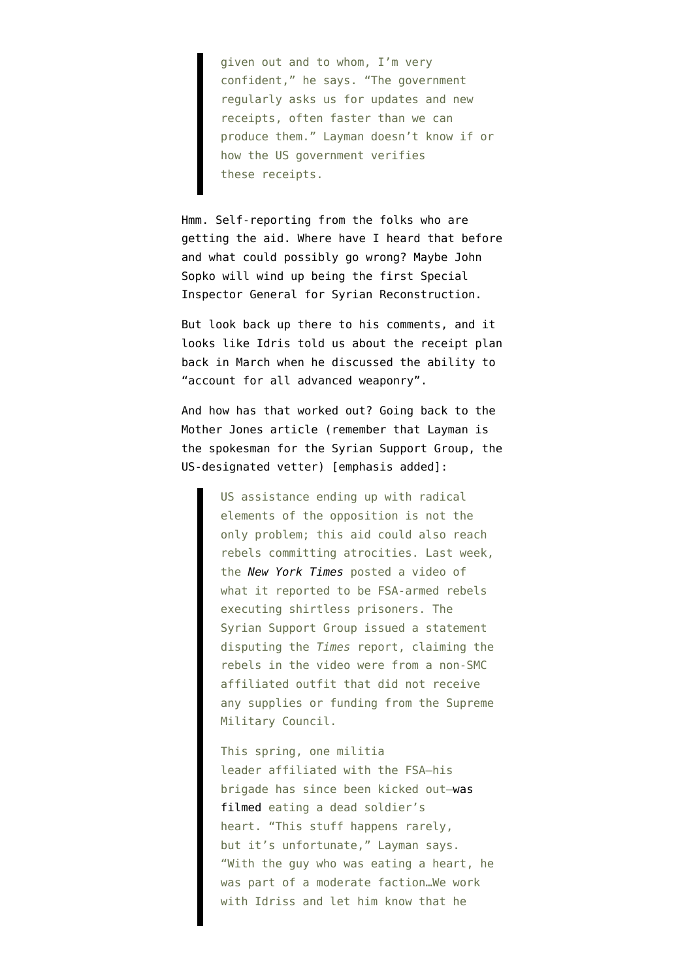given out and to whom, I'm very confident," he says. "The government regularly asks us for updates and new receipts, often faster than we can produce them." Layman doesn't know if or how the US government verifies these receipts.

Hmm. Self-reporting from the folks who are getting the aid. Where have I [heard that before](http://www.emptywheel.net/2013/05/01/even-with-non-validated-afghan-self-reporting-sigar-finds-ansf-falls-short-of-352000-goal/) and what could possibly go wrong? Maybe [John](http://www.nytimes.com/2013/09/12/world/asia/us-officials-growl-back-at-watchdog-for-afghanistan.html?pagewanted=all) [Sopko](http://www.nytimes.com/2013/09/12/world/asia/us-officials-growl-back-at-watchdog-for-afghanistan.html?pagewanted=all) will wind up being the first Special Inspector General for Syrian Reconstruction.

But look back up there to his comments, and it looks like Idris told us about the receipt plan back in March when he discussed the ability to "account for all advanced weaponry".

And how has that worked out? Going back to the Mother Jones article (remember that Layman is the spokesman for the Syrian Support Group, the US-designated vetter) [emphasis added]:

> US assistance ending up with radical elements of the opposition is not the only problem; this aid could also reach rebels committing atrocities. Last week, the *[New York Times](http://www.nytimes.com/2013/09/05/world/middleeast/brutality-of-syrian-rebels-pose-dilemma-in-west.html?pagewanted=all)* posted a video of what it reported to be FSA-armed rebels executing shirtless prisoners. The Syrian Support Group issued a statement disputing the *Times* report, claiming the rebels in the video were from a non-SMC affiliated outfit that did not receive any supplies or funding from the Supreme Military Council.

> This spring, one militia leader affiliated with the FSA—his brigade has since been kicked out[—was](http://www.theatlanticwire.com/global/2013/05/syria-rebel-eating-organs-video/65207/) [filmed](http://www.theatlanticwire.com/global/2013/05/syria-rebel-eating-organs-video/65207/) eating a dead soldier's heart. "This stuff happens rarely, but it's unfortunate," Layman says. "With the guy who was eating a heart, he was part of a moderate faction…We work with Idriss and let him know that he